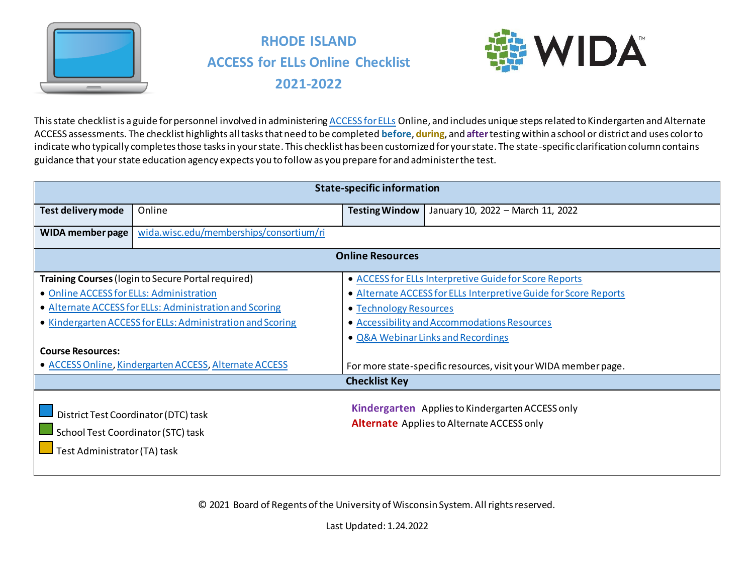

# **RHODE ISLAND ACCESS for ELLs Online Checklist 2021-2022**



This state checklist is a guide for personnel involved in administerin[g ACCESS for ELLs](https://wida.wisc.edu/assess/access) Online, and includes unique steps related to Kindergarten and Alternate ACCESS assessments. The checklist highlights all tasks that need to be completed **before**, **during**, and **after**testing within a school or district and uses color to indicate who typically completes those tasks in your state. This checklist has been customized for your state. The state-specific clarification column contains guidance that your state education agency expects you to follow as you prepare for and administer the test.

|                                                                      | <b>State-specific information</b>                                                                                                                                                  |                         |                                                                                                                                                                                                                  |  |  |
|----------------------------------------------------------------------|------------------------------------------------------------------------------------------------------------------------------------------------------------------------------------|-------------------------|------------------------------------------------------------------------------------------------------------------------------------------------------------------------------------------------------------------|--|--|
| Test delivery mode                                                   | Online                                                                                                                                                                             | <b>Testing Window</b>   | January 10, 2022 - March 11, 2022                                                                                                                                                                                |  |  |
| WIDA member page                                                     | wida.wisc.edu/memberships/consortium/ri                                                                                                                                            |                         |                                                                                                                                                                                                                  |  |  |
|                                                                      |                                                                                                                                                                                    | <b>Online Resources</b> |                                                                                                                                                                                                                  |  |  |
| • Online ACCESS for ELLs: Administration<br><b>Course Resources:</b> | <b>Training Courses</b> (login to Secure Portal required)<br>• Alternate ACCESS for ELLs: Administration and Scoring<br>• Kindergarten ACCESS for ELLs: Administration and Scoring | • Technology Resources  | • ACCESS for ELLs Interpretive Guide for Score Reports<br>• Alternate ACCESS for ELLs Interpretive Guide for Score Reports<br>• Accessibility and Accommodations Resources<br>• Q&A Webinar Links and Recordings |  |  |
|                                                                      | • ACCESS Online, Kindergarten ACCESS, Alternate ACCESS                                                                                                                             | <b>Checklist Key</b>    | For more state-specific resources, visit your WIDA member page.                                                                                                                                                  |  |  |
| School Test Coordinator (STC) task<br>Test Administrator (TA) task   | District Test Coordinator (DTC) task                                                                                                                                               |                         | Kindergarten Applies to Kindergarten ACCESS only<br><b>Alternate</b> Applies to Alternate ACCESS only                                                                                                            |  |  |

© 2021 Board of Regents of the University of Wisconsin System. All rights reserved.

Last Updated: 1.24.2022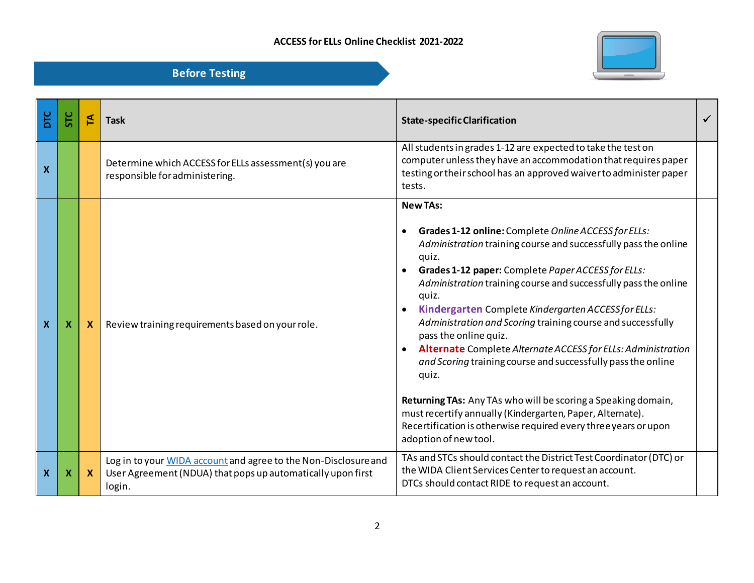

| ЪLС | 문 | ₫  | <b>Task</b>                                                                                                                              | <b>State-specific Clarification</b>                                                                                                                                                                                                                                                                                                                                                                                                                                                                                                                                                                                                                                                                                                                                                                     |  |
|-----|---|----|------------------------------------------------------------------------------------------------------------------------------------------|---------------------------------------------------------------------------------------------------------------------------------------------------------------------------------------------------------------------------------------------------------------------------------------------------------------------------------------------------------------------------------------------------------------------------------------------------------------------------------------------------------------------------------------------------------------------------------------------------------------------------------------------------------------------------------------------------------------------------------------------------------------------------------------------------------|--|
| X   |   |    | Determine which ACCESS for ELLs assessment(s) you are<br>responsible for administering.                                                  | All students in grades 1-12 are expected to take the test on<br>computer unless they have an accommodation that requires paper<br>testing or their school has an approved waiver to administer paper<br>tests.                                                                                                                                                                                                                                                                                                                                                                                                                                                                                                                                                                                          |  |
| X   | Х | X. | Review training requirements based on your role.                                                                                         | <b>New TAs:</b><br>Grades 1-12 online: Complete Online ACCESS for ELLs:<br>Administration training course and successfully pass the online<br>quiz.<br>Grades 1-12 paper: Complete Paper ACCESS for ELLs:<br>Administration training course and successfully pass the online<br>quiz.<br>Kindergarten Complete Kindergarten ACCESS for ELLs:<br>Administration and Scoring training course and successfully<br>pass the online quiz.<br>Alternate Complete Alternate ACCESS for ELLs: Administration<br>and Scoring training course and successfully pass the online<br>quiz.<br>Returning TAs: Any TAs who will be scoring a Speaking domain,<br>must recertify annually (Kindergarten, Paper, Alternate).<br>Recertification is otherwise required every three years or upon<br>adoption of new tool. |  |
| X   | х | X. | Log in to your WIDA account and agree to the Non-Disclosure and<br>User Agreement (NDUA) that pops up automatically upon first<br>login. | TAs and STCs should contact the District Test Coordinator (DTC) or<br>the WIDA Client Services Center to request an account.<br>DTCs should contact RIDE to request an account.                                                                                                                                                                                                                                                                                                                                                                                                                                                                                                                                                                                                                         |  |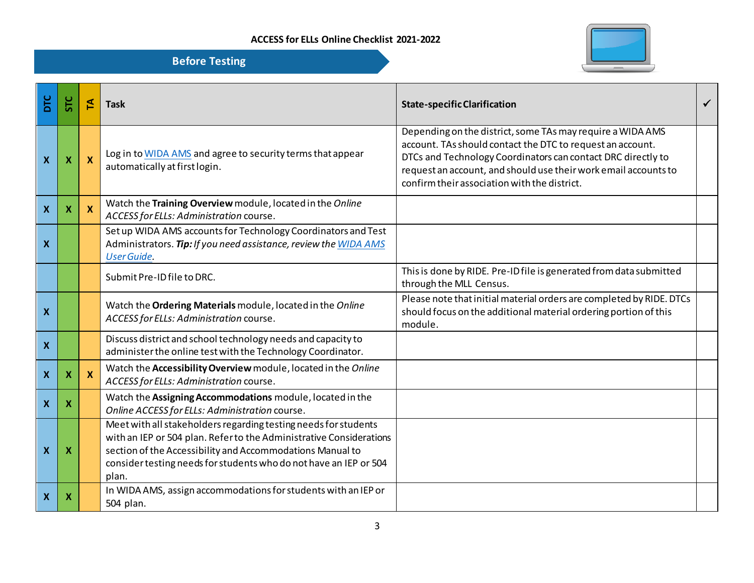

| <b>Before Testing</b> |  |
|-----------------------|--|
|                       |  |

| DTC                       | <b>SΤC</b> | 된            | <b>Task</b>                                                                                                                                                                                                                                                                       | <b>State-specific Clarification</b>                                                                                                                                                                                                                                                                         |  |
|---------------------------|------------|--------------|-----------------------------------------------------------------------------------------------------------------------------------------------------------------------------------------------------------------------------------------------------------------------------------|-------------------------------------------------------------------------------------------------------------------------------------------------------------------------------------------------------------------------------------------------------------------------------------------------------------|--|
| $\boldsymbol{X}$          | X          | $\mathbf{x}$ | Log in to WIDA AMS and agree to security terms that appear<br>automatically at first login.                                                                                                                                                                                       | Depending on the district, some TAs may require a WIDA AMS<br>account. TAs should contact the DTC to request an account.<br>DTCs and Technology Coordinators can contact DRC directly to<br>request an account, and should use their work email accounts to<br>confirm their association with the district. |  |
| X                         | х          | $\mathbf{x}$ | Watch the Training Overview module, located in the Online<br>ACCESS for ELLs: Administration course.                                                                                                                                                                              |                                                                                                                                                                                                                                                                                                             |  |
| X                         |            |              | Set up WIDA AMS accounts for Technology Coordinators and Test<br>Administrators. Tip: If you need assistance, review the WIDA AMS<br><b>User Guide.</b>                                                                                                                           |                                                                                                                                                                                                                                                                                                             |  |
|                           |            |              | Submit Pre-ID file to DRC.                                                                                                                                                                                                                                                        | This is done by RIDE. Pre-ID file is generated from data submitted<br>through the MLL Census.                                                                                                                                                                                                               |  |
| X                         |            |              | Watch the Ordering Materials module, located in the Online<br>ACCESS for ELLs: Administration course.                                                                                                                                                                             | Please note that initial material orders are completed by RIDE. DTCs<br>should focus on the additional material ordering portion of this<br>module.                                                                                                                                                         |  |
| $\boldsymbol{X}$          |            |              | Discuss district and school technology needs and capacity to<br>administer the online test with the Technology Coordinator.                                                                                                                                                       |                                                                                                                                                                                                                                                                                                             |  |
| X                         | х          | <b>X</b>     | Watch the Accessibility Overview module, located in the Online<br>ACCESS for ELLs: Administration course.                                                                                                                                                                         |                                                                                                                                                                                                                                                                                                             |  |
| $\pmb{\mathsf{X}}$        | Х          |              | Watch the Assigning Accommodations module, located in the<br>Online ACCESS for ELLs: Administration course.                                                                                                                                                                       |                                                                                                                                                                                                                                                                                                             |  |
| X                         | Х          |              | Meet with all stakeholders regarding testing needs for students<br>with an IEP or 504 plan. Refer to the Administrative Considerations<br>section of the Accessibility and Accommodations Manual to<br>consider testing needs for students who do not have an IEP or 504<br>plan. |                                                                                                                                                                                                                                                                                                             |  |
| $\boldsymbol{\mathsf{X}}$ | X          |              | In WIDA AMS, assign accommodations for students with an IEP or<br>504 plan.                                                                                                                                                                                                       |                                                                                                                                                                                                                                                                                                             |  |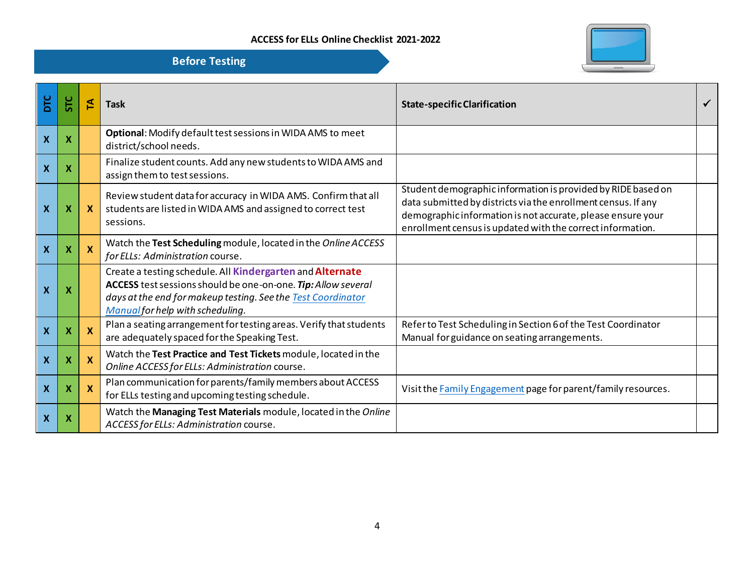

| ЪLС                       | <b>STC</b>                | 돈 | <b>Task</b>                                                                                                                                                                                                                    | <b>State-specific Clarification</b>                                                                                                                                                                                                                        | ✓ |
|---------------------------|---------------------------|---|--------------------------------------------------------------------------------------------------------------------------------------------------------------------------------------------------------------------------------|------------------------------------------------------------------------------------------------------------------------------------------------------------------------------------------------------------------------------------------------------------|---|
| $\boldsymbol{\mathsf{X}}$ | $\boldsymbol{\mathsf{X}}$ |   | Optional: Modify default test sessions in WIDA AMS to meet<br>district/school needs.                                                                                                                                           |                                                                                                                                                                                                                                                            |   |
| $\boldsymbol{\mathsf{x}}$ | $\boldsymbol{X}$          |   | Finalize student counts. Add any new students to WIDA AMS and<br>assign them to test sessions.                                                                                                                                 |                                                                                                                                                                                                                                                            |   |
| $\boldsymbol{\mathsf{X}}$ | $\boldsymbol{\mathsf{x}}$ | X | Review student data for accuracy in WIDA AMS. Confirm that all<br>students are listed in WIDA AMS and assigned to correct test<br>sessions.                                                                                    | Student demographic information is provided by RIDE based on<br>data submitted by districts via the enrollment census. If any<br>demographic information is not accurate, please ensure your<br>enrollment census is updated with the correct information. |   |
| $\boldsymbol{\mathsf{X}}$ | $\boldsymbol{X}$          |   | Watch the Test Scheduling module, located in the Online ACCESS<br>for ELLs: Administration course.                                                                                                                             |                                                                                                                                                                                                                                                            |   |
| $\boldsymbol{\mathsf{x}}$ | $\boldsymbol{\mathsf{x}}$ |   | Create a testing schedule. All Kindergarten and Alternate<br>ACCESS test sessions should be one-on-one. Tip: Allow several<br>days at the end for makeup testing. See the Test Coordinator<br>Manual for help with scheduling. |                                                                                                                                                                                                                                                            |   |
| $\boldsymbol{X}$          | $\boldsymbol{\mathsf{X}}$ |   | Plan a seating arrangement for testing areas. Verify that students<br>are adequately spaced for the Speaking Test.                                                                                                             | Refer to Test Scheduling in Section 6 of the Test Coordinator<br>Manual for guidance on seating arrangements.                                                                                                                                              |   |
| $\boldsymbol{\mathsf{X}}$ | $\boldsymbol{X}$          | X | Watch the Test Practice and Test Tickets module, located in the<br>Online ACCESS for ELLs: Administration course.                                                                                                              |                                                                                                                                                                                                                                                            |   |
| $\boldsymbol{\mathsf{X}}$ | $\boldsymbol{X}$          |   | Plan communication for parents/family members about ACCESS<br>for ELLs testing and upcoming testing schedule.                                                                                                                  | Visit the Family Engagement page for parent/family resources.                                                                                                                                                                                              |   |
| $\boldsymbol{X}$          | X                         |   | Watch the Managing Test Materials module, located in the Online<br>ACCESS for ELLs: Administration course.                                                                                                                     |                                                                                                                                                                                                                                                            |   |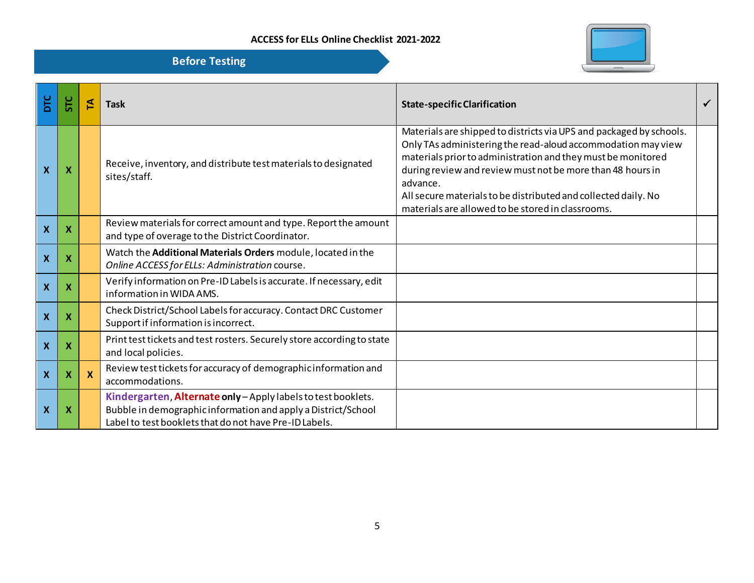

| ЪLС                       | SТС | ₫        | <b>Task</b>                                                                                                                                                                              | <b>State-specific Clarification</b>                                                                                                                                                                                                                                                                                                                                                                  |  |
|---------------------------|-----|----------|------------------------------------------------------------------------------------------------------------------------------------------------------------------------------------------|------------------------------------------------------------------------------------------------------------------------------------------------------------------------------------------------------------------------------------------------------------------------------------------------------------------------------------------------------------------------------------------------------|--|
| $\boldsymbol{\mathsf{x}}$ | х   |          | Receive, inventory, and distribute test materials to designated<br>sites/staff.                                                                                                          | Materials are shipped to districts via UPS and packaged by schools.<br>Only TAs administering the read-aloud accommodation may view<br>materials prior to administration and they must be monitored<br>during review and review must not be more than 48 hours in<br>advance.<br>All secure materials to be distributed and collected daily. No<br>materials are allowed to be stored in classrooms. |  |
| $\mathsf{\chi}$           | х   |          | Review materials for correct amount and type. Report the amount<br>and type of overage to the District Coordinator.                                                                      |                                                                                                                                                                                                                                                                                                                                                                                                      |  |
| $\boldsymbol{\mathsf{x}}$ | Х   |          | Watch the Additional Materials Orders module, located in the<br>Online ACCESS for ELLs: Administration course.                                                                           |                                                                                                                                                                                                                                                                                                                                                                                                      |  |
| $\boldsymbol{\mathsf{X}}$ | х   |          | Verify information on Pre-ID Labels is accurate. If necessary, edit<br>information in WIDA AMS.                                                                                          |                                                                                                                                                                                                                                                                                                                                                                                                      |  |
| $\boldsymbol{\mathsf{X}}$ | х   |          | Check District/School Labels for accuracy. Contact DRC Customer<br>Support if information is incorrect.                                                                                  |                                                                                                                                                                                                                                                                                                                                                                                                      |  |
| $\overline{\mathbf{X}}$   | х   |          | Print test tickets and test rosters. Securely store according to state<br>and local policies.                                                                                            |                                                                                                                                                                                                                                                                                                                                                                                                      |  |
| $\boldsymbol{\mathsf{X}}$ | Х   | <b>X</b> | Review test tickets for accuracy of demographic information and<br>accommodations.                                                                                                       |                                                                                                                                                                                                                                                                                                                                                                                                      |  |
| $\boldsymbol{X}$          | Х   |          | Kindergarten, Alternate only - Apply labels to test booklets.<br>Bubble in demographic information and apply a District/School<br>Label to test booklets that do not have Pre-ID Labels. |                                                                                                                                                                                                                                                                                                                                                                                                      |  |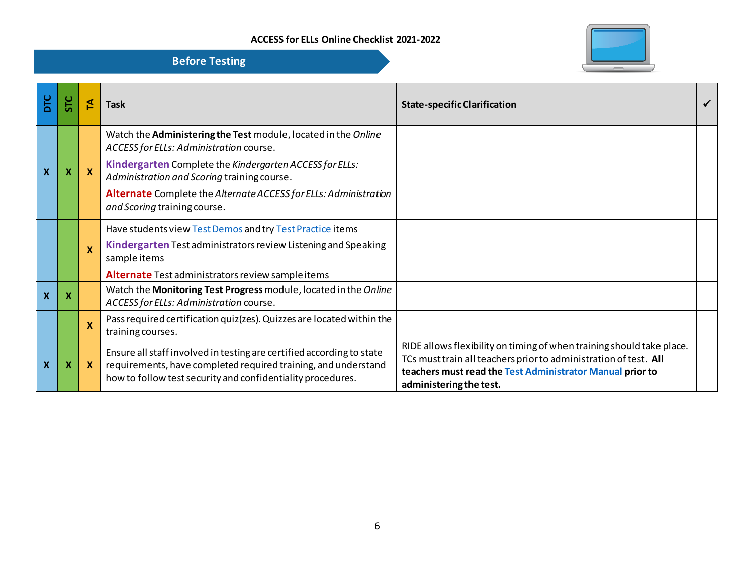| DTC                       |   |                           | <b>Task</b>                                                                                                                                                                                            | <b>State-specific Clarification</b>                                                                                                                                                                                               |  |
|---------------------------|---|---------------------------|--------------------------------------------------------------------------------------------------------------------------------------------------------------------------------------------------------|-----------------------------------------------------------------------------------------------------------------------------------------------------------------------------------------------------------------------------------|--|
|                           |   |                           | Watch the Administering the Test module, located in the Online<br>ACCESS for ELLs: Administration course.                                                                                              |                                                                                                                                                                                                                                   |  |
|                           | х |                           | Kindergarten Complete the Kindergarten ACCESS for ELLs:<br>Administration and Scoring training course.                                                                                                 |                                                                                                                                                                                                                                   |  |
|                           |   |                           | Alternate Complete the Alternate ACCESS for ELLs: Administration<br>and Scoring training course.                                                                                                       |                                                                                                                                                                                                                                   |  |
|                           |   |                           | Have students view Test Demos and try Test Practice items                                                                                                                                              |                                                                                                                                                                                                                                   |  |
|                           |   | $\boldsymbol{\mathsf{x}}$ | Kindergarten Test administrators review Listening and Speaking<br>sample items                                                                                                                         |                                                                                                                                                                                                                                   |  |
|                           |   |                           | Alternate Test administrators review sample items                                                                                                                                                      |                                                                                                                                                                                                                                   |  |
| $\boldsymbol{\mathsf{X}}$ |   |                           | Watch the Monitoring Test Progress module, located in the Online<br>ACCESS for ELLs: Administration course.                                                                                            |                                                                                                                                                                                                                                   |  |
|                           |   |                           | Pass required certification quiz (zes). Quizzes are located within the<br>training courses.                                                                                                            |                                                                                                                                                                                                                                   |  |
| X                         | X | $\mathbf x$               | Ensure all staff involved in testing are certified according to state<br>requirements, have completed required training, and understand<br>how to follow test security and confidentiality procedures. | RIDE allows flexibility on timing of when training should take place.<br>TCs must train all teachers prior to administration of test. All<br>teachers must read the Test Administrator Manual prior to<br>administering the test. |  |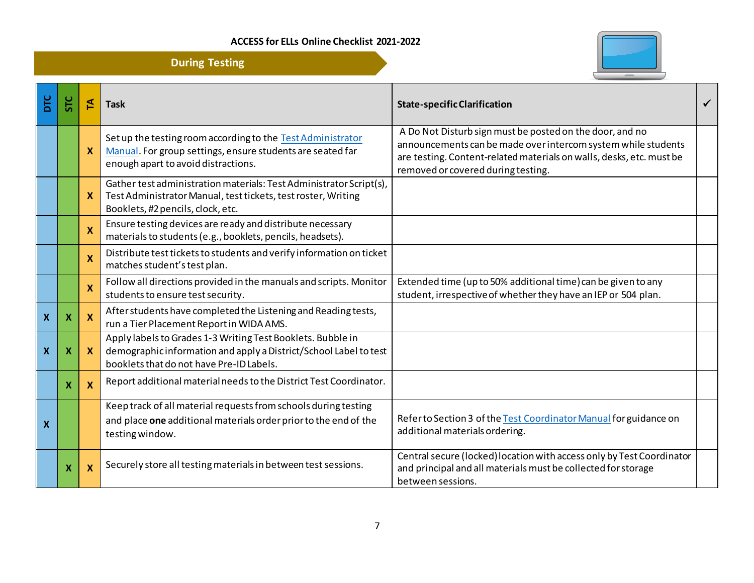**During Testing**



| ЪLС                       | SТС | P                         | <b>Task</b>                                                                                                                                                                  | <b>State-specific Clarification</b>                                                                                                                                                                                                     | $\checkmark$ |
|---------------------------|-----|---------------------------|------------------------------------------------------------------------------------------------------------------------------------------------------------------------------|-----------------------------------------------------------------------------------------------------------------------------------------------------------------------------------------------------------------------------------------|--------------|
|                           |     | $\mathbf{x}$              | Set up the testing room according to the Test Administrator<br>Manual. For group settings, ensure students are seated far<br>enough apart to avoid distractions.             | A Do Not Disturb sign must be posted on the door, and no<br>announcements can be made over intercom system while students<br>are testing. Content-related materials on walls, desks, etc. must be<br>removed or covered during testing. |              |
|                           |     | <b>X</b>                  | Gather test administration materials: Test Administrator Script(s),<br>Test Administrator Manual, test tickets, test roster, Writing<br>Booklets, #2 pencils, clock, etc.    |                                                                                                                                                                                                                                         |              |
|                           |     | X                         | Ensure testing devices are ready and distribute necessary<br>materials to students (e.g., booklets, pencils, headsets).                                                      |                                                                                                                                                                                                                                         |              |
|                           |     | $\mathbf x$               | Distribute test tickets to students and verify information on ticket<br>matches student's test plan.                                                                         |                                                                                                                                                                                                                                         |              |
|                           |     | $\boldsymbol{\mathsf{x}}$ | Follow all directions provided in the manuals and scripts. Monitor<br>students to ensure test security.                                                                      | Extended time (up to 50% additional time) can be given to any<br>student, irrespective of whether they have an IEP or 504 plan.                                                                                                         |              |
| $\boldsymbol{\mathsf{x}}$ | Х   | <b>X</b>                  | After students have completed the Listening and Reading tests,<br>run a Tier Placement Report in WIDA AMS.                                                                   |                                                                                                                                                                                                                                         |              |
| $\boldsymbol{X}$          | х   | $\mathbf{x}$              | Apply labels to Grades 1-3 Writing Test Booklets. Bubble in<br>demographic information and apply a District/School Label to test<br>booklets that do not have Pre-ID Labels. |                                                                                                                                                                                                                                         |              |
|                           | х   | $\mathbf{x}$              | Report additional material needs to the District Test Coordinator.                                                                                                           |                                                                                                                                                                                                                                         |              |
| X                         |     |                           | Keep track of all material requests from schools during testing<br>and place one additional materials order prior to the end of the<br>testing window.                       | Refer to Section 3 of the Test Coordinator Manual for guidance on<br>additional materials ordering.                                                                                                                                     |              |
|                           | X   | $\boldsymbol{X}$          | Securely store all testing materials in between test sessions.                                                                                                               | Central secure (locked) location with access only by Test Coordinator<br>and principal and all materials must be collected for storage<br>between sessions.                                                                             |              |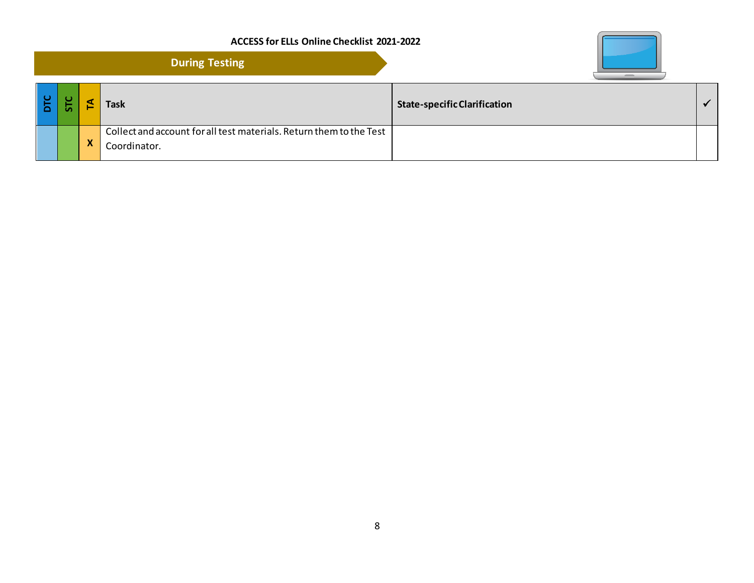|    |   | <b>During Testing</b>                                                               |                                     |              |
|----|---|-------------------------------------------------------------------------------------|-------------------------------------|--------------|
| ്ധ |   | <b>Task</b>                                                                         | <b>State-specific Clarification</b> | $\checkmark$ |
|    | X | Collect and account for all test materials. Return them to the Test<br>Coordinator. |                                     |              |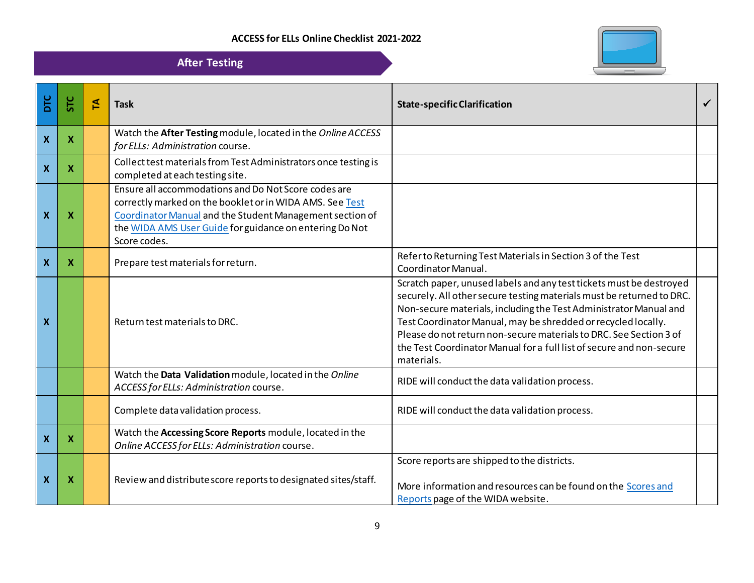

|              |                           |              | <b>After Testing</b>                                                                                                                                                                                                                                    |                                                                                                                                                                                                                                                                                                                                                                                                                                                |  |
|--------------|---------------------------|--------------|---------------------------------------------------------------------------------------------------------------------------------------------------------------------------------------------------------------------------------------------------------|------------------------------------------------------------------------------------------------------------------------------------------------------------------------------------------------------------------------------------------------------------------------------------------------------------------------------------------------------------------------------------------------------------------------------------------------|--|
| DTC          | <b>STC</b>                | $\mathbf{r}$ | <b>Task</b>                                                                                                                                                                                                                                             | <b>State-specific Clarification</b>                                                                                                                                                                                                                                                                                                                                                                                                            |  |
| $\mathbf{x}$ | $\boldsymbol{\mathsf{X}}$ |              | Watch the After Testing module, located in the Online ACCESS<br>for ELLs: Administration course.                                                                                                                                                        |                                                                                                                                                                                                                                                                                                                                                                                                                                                |  |
| $\mathbf{x}$ | $\mathbf x$               |              | Collect test materials from Test Administrators once testing is<br>completed at each testing site.                                                                                                                                                      |                                                                                                                                                                                                                                                                                                                                                                                                                                                |  |
| $\mathbf x$  | X                         |              | Ensure all accommodations and Do Not Score codes are<br>correctly marked on the booklet or in WIDA AMS. See Test<br>Coordinator Manual and the Student Management section of<br>the WIDA AMS User Guide for guidance on entering Do Not<br>Score codes. |                                                                                                                                                                                                                                                                                                                                                                                                                                                |  |
| $\mathbf{x}$ | $\boldsymbol{\mathsf{X}}$ |              | Prepare test materials for return.                                                                                                                                                                                                                      | Refer to Returning Test Materials in Section 3 of the Test<br>Coordinator Manual.                                                                                                                                                                                                                                                                                                                                                              |  |
| <b>X</b>     |                           |              | Return test materials to DRC.                                                                                                                                                                                                                           | Scratch paper, unused labels and any test tickets must be destroyed<br>securely. All other secure testing materials must be returned to DRC.<br>Non-secure materials, including the Test Administrator Manual and<br>Test Coordinator Manual, may be shredded or recycled locally.<br>Please do not return non-secure materials to DRC. See Section 3 of<br>the Test Coordinator Manual for a full list of secure and non-secure<br>materials. |  |
|              |                           |              | Watch the Data Validation module, located in the Online<br>ACCESS for ELLs: Administration course.                                                                                                                                                      | RIDE will conduct the data validation process.                                                                                                                                                                                                                                                                                                                                                                                                 |  |
|              |                           |              | Complete data validation process.                                                                                                                                                                                                                       | RIDE will conduct the data validation process.                                                                                                                                                                                                                                                                                                                                                                                                 |  |
| $\mathbf{x}$ | $\boldsymbol{\mathsf{X}}$ |              | Watch the Accessing Score Reports module, located in the<br>Online ACCESS for ELLs: Administration course.                                                                                                                                              |                                                                                                                                                                                                                                                                                                                                                                                                                                                |  |
| $\mathbf{x}$ | Х                         |              | Review and distribute score reports to designated sites/staff.                                                                                                                                                                                          | Score reports are shipped to the districts.<br>More information and resources can be found on the Scores and<br>Reports page of the WIDA website.                                                                                                                                                                                                                                                                                              |  |